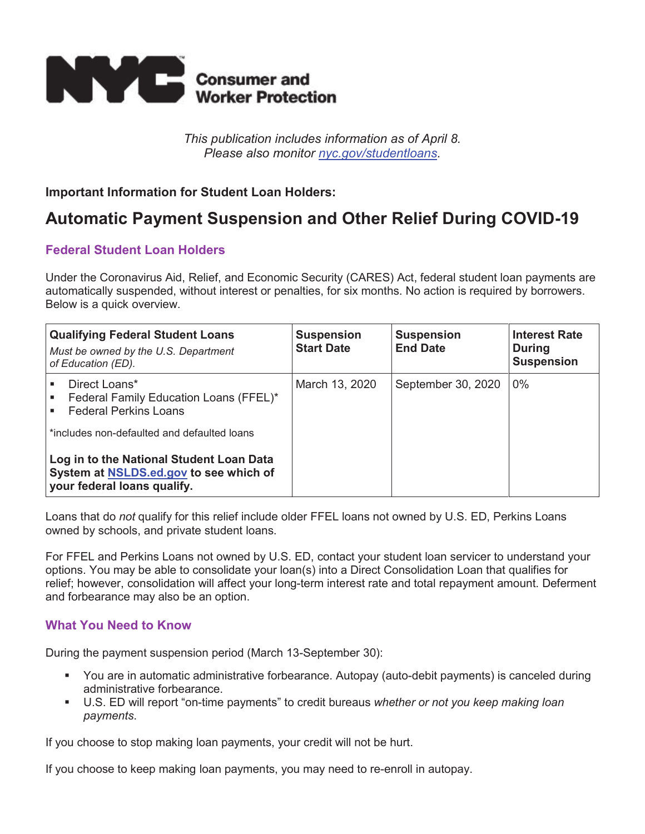

*This publication includes information as of April 8. Please also monitor nyc.gov/studentloans.* 

# **Important Information for Student Loan Holders:**

# **Automatic Payment Suspension and Other Relief During COVID-19**

# **Federal Student Loan Holders**

Under the Coronavirus Aid, Relief, and Economic Security (CARES) Act, federal student loan payments are automatically suspended, without interest or penalties, for six months. No action is required by borrowers. Below is a quick overview.

| <b>Qualifying Federal Student Loans</b><br>Must be owned by the U.S. Department<br>of Education (ED).                                                                                                                                                       | <b>Suspension</b><br><b>Start Date</b> | <b>Suspension</b><br><b>End Date</b> | <b>Interest Rate</b><br><b>During</b><br><b>Suspension</b> |
|-------------------------------------------------------------------------------------------------------------------------------------------------------------------------------------------------------------------------------------------------------------|----------------------------------------|--------------------------------------|------------------------------------------------------------|
| Direct Loans*<br>Federal Family Education Loans (FFEL)*<br><b>Federal Perkins Loans</b><br>*includes non-defaulted and defaulted loans<br>Log in to the National Student Loan Data<br>System at NSLDS.ed.gov to see which of<br>your federal loans qualify. | March 13, 2020                         | September 30, 2020                   | $0\%$                                                      |

Loans that do *not* qualify for this relief include older FFEL loans not owned by U.S. ED, Perkins Loans owned by schools, and private student loans.

For FFEL and Perkins Loans not owned by U.S. ED, contact your student loan servicer to understand your options. You may be able to consolidate your loan(s) into a Direct Consolidation Loan that qualifies for relief; however, consolidation will affect your long-term interest rate and total repayment amount. Deferment and forbearance may also be an option.

# **What You Need to Know**

During the payment suspension period (March 13-September 30):

- You are in automatic administrative forbearance. Autopay (auto-debit payments) is canceled during administrative forbearance.
- U.S. ED will report "on-time payments" to credit bureaus *whether or not you keep making loan payments*.

If you choose to stop making loan payments, your credit will not be hurt.

If you choose to keep making loan payments, you may need to re-enroll in autopay.